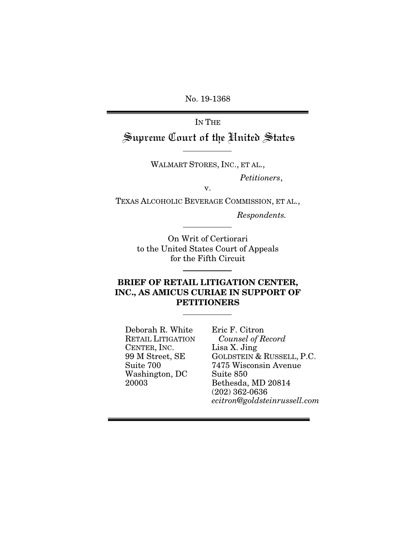No. 19-1368

IN THE

Supreme Court of the United States

WALMART STORES, INC., ET AL.,

*Petitioners*,

v.

TEXAS ALCOHOLIC BEVERAGE COMMISSION, ET AL.,

*Respondents.* 

On Writ of Certiorari to the United States Court of Appeals for the Fifth Circuit

## BRIEF OF RETAIL LITIGATION CENTER, INC., AS AMICUS CURIAE IN SUPPORT OF **PETITIONERS**

Deborah R. White RETAIL LITIGATION CENTER, INC. 99 M Street, SE Suite 700 Washington, DC 20003

Eric F. Citron *Counsel of Record*  Lisa X. Jing GOLDSTEIN & RUSSELL, P.C. 7475 Wisconsin Avenue Suite 850 Bethesda, MD 20814 (202) 362-0636 *ecitron@goldsteinrussell.com*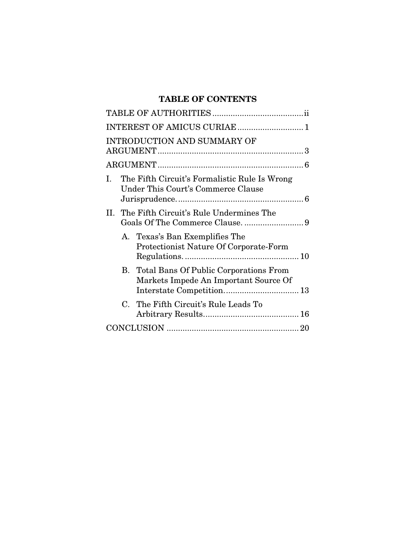## TABLE OF CONTENTS

| INTEREST OF AMICUS CURIAE 1                                                                      |
|--------------------------------------------------------------------------------------------------|
| <b>INTRODUCTION AND SUMMARY OF</b>                                                               |
|                                                                                                  |
| The Fifth Circuit's Formalistic Rule Is Wrong<br>L.<br><b>Under This Court's Commerce Clause</b> |
| II. The Fifth Circuit's Rule Undermines The                                                      |
| A. Texas's Ban Exemplifies The<br>Protectionist Nature Of Corporate-Form                         |
| B. Total Bans Of Public Corporations From<br>Markets Impede An Important Source Of               |
| The Fifth Circuit's Rule Leads To<br>$C_{\cdot}$                                                 |
|                                                                                                  |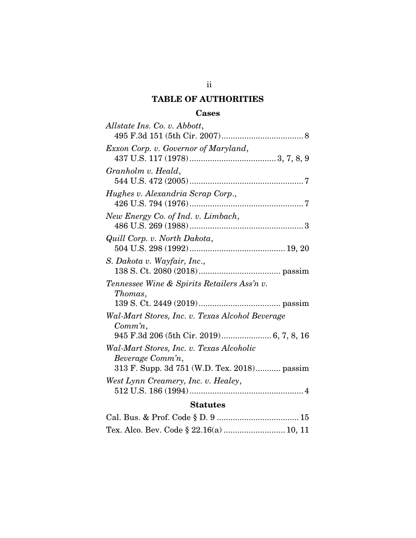## TABLE OF AUTHORITIES

## Cases

| Allstate Ins. Co. v. Abbott,                                  |  |  |  |  |  |
|---------------------------------------------------------------|--|--|--|--|--|
| Exxon Corp. v. Governor of Maryland,                          |  |  |  |  |  |
|                                                               |  |  |  |  |  |
| Granholm v. Heald,                                            |  |  |  |  |  |
| Hughes v. Alexandria Scrap Corp.,                             |  |  |  |  |  |
| New Energy Co. of Ind. v. Limbach,                            |  |  |  |  |  |
| Quill Corp. v. North Dakota,                                  |  |  |  |  |  |
| S. Dakota v. Wayfair, Inc.,                                   |  |  |  |  |  |
| Tennessee Wine & Spirits Retailers Ass'n v.<br>Thomas,        |  |  |  |  |  |
|                                                               |  |  |  |  |  |
| Wal-Mart Stores, Inc. v. Texas Alcohol Beverage<br>$Comm'n$ , |  |  |  |  |  |
|                                                               |  |  |  |  |  |
| Wal-Mart Stores, Inc. v. Texas Alcoholic<br>Beverage Comm'n,  |  |  |  |  |  |
| 313 F. Supp. 3d 751 (W.D. Tex. 2018) passim                   |  |  |  |  |  |
| West Lynn Creamery, Inc. v. Healey,                           |  |  |  |  |  |
| <b>Statutes</b>                                               |  |  |  |  |  |
|                                                               |  |  |  |  |  |

|--|--|--|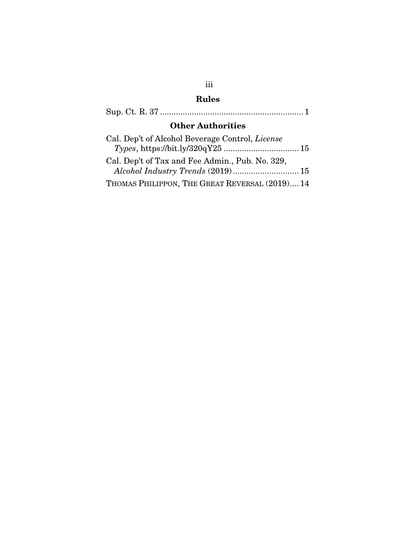# iii Rules

|--|--|--|--|--|--|

# Other Authorities

| Cal. Dep't of Alcohol Beverage Control, License |  |
|-------------------------------------------------|--|
|                                                 |  |
| Cal. Dep't of Tax and Fee Admin., Pub. No. 329, |  |
|                                                 |  |
| THOMAS PHILIPPON, THE GREAT REVERSAL (2019) 14  |  |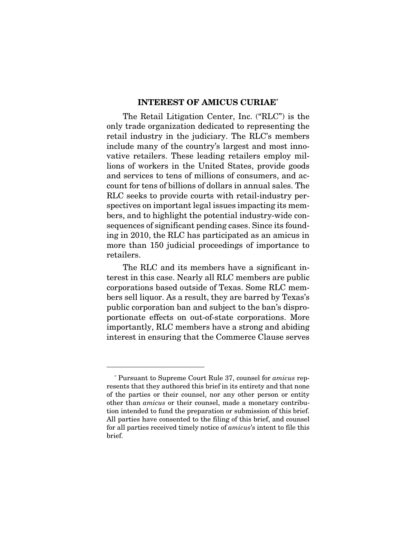### INTEREST OF AMICUS CURIAE\*

The Retail Litigation Center, Inc. ("RLC") is the only trade organization dedicated to representing the retail industry in the judiciary. The RLC's members include many of the country's largest and most innovative retailers. These leading retailers employ millions of workers in the United States, provide goods and services to tens of millions of consumers, and account for tens of billions of dollars in annual sales. The RLC seeks to provide courts with retail-industry perspectives on important legal issues impacting its members, and to highlight the potential industry-wide consequences of significant pending cases. Since its founding in 2010, the RLC has participated as an amicus in more than 150 judicial proceedings of importance to retailers.

The RLC and its members have a significant interest in this case. Nearly all RLC members are public corporations based outside of Texas. Some RLC members sell liquor. As a result, they are barred by Texas's public corporation ban and subject to the ban's disproportionate effects on out-of-state corporations. More importantly, RLC members have a strong and abiding interest in ensuring that the Commerce Clause serves

<sup>\*</sup> Pursuant to Supreme Court Rule 37, counsel for *amicus* represents that they authored this brief in its entirety and that none of the parties or their counsel, nor any other person or entity other than *amicus* or their counsel, made a monetary contribution intended to fund the preparation or submission of this brief. All parties have consented to the filing of this brief, and counsel for all parties received timely notice of *amicus*'s intent to file this brief.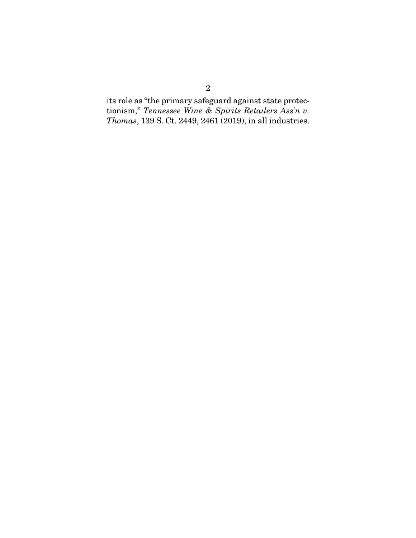its role as "the primary safeguard against state protectionism," *Tennessee Wine & Spirits Retailers Ass'n v. Thomas*, 139 S. Ct. 2449, 2461 (2019), in all industries.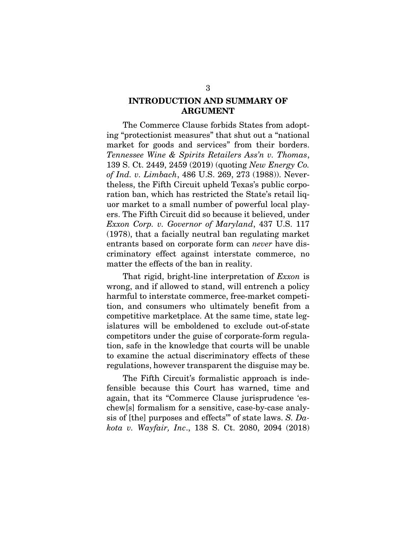## INTRODUCTION AND SUMMARY OF ARGUMENT

The Commerce Clause forbids States from adopting "protectionist measures" that shut out a "national market for goods and services" from their borders. *Tennessee Wine & Spirits Retailers Ass'n v. Thomas*, 139 S. Ct. 2449, 2459 (2019) (quoting *New Energy Co. of Ind. v. Limbach*, 486 U.S. 269, 273 (1988)). Nevertheless, the Fifth Circuit upheld Texas's public corporation ban, which has restricted the State's retail liquor market to a small number of powerful local players. The Fifth Circuit did so because it believed, under *Exxon Corp. v. Governor of Maryland*, 437 U.S. 117 (1978), that a facially neutral ban regulating market entrants based on corporate form can *never* have discriminatory effect against interstate commerce, no matter the effects of the ban in reality.

That rigid, bright-line interpretation of *Exxon* is wrong, and if allowed to stand, will entrench a policy harmful to interstate commerce, free-market competition, and consumers who ultimately benefit from a competitive marketplace. At the same time, state legislatures will be emboldened to exclude out-of-state competitors under the guise of corporate-form regulation, safe in the knowledge that courts will be unable to examine the actual discriminatory effects of these regulations, however transparent the disguise may be.

The Fifth Circuit's formalistic approach is indefensible because this Court has warned, time and again, that its "Commerce Clause jurisprudence 'eschew[s] formalism for a sensitive, case-by-case analysis of [the] purposes and effects'" of state laws. *S. Dakota v. Wayfair, Inc*., 138 S. Ct. 2080, 2094 (2018)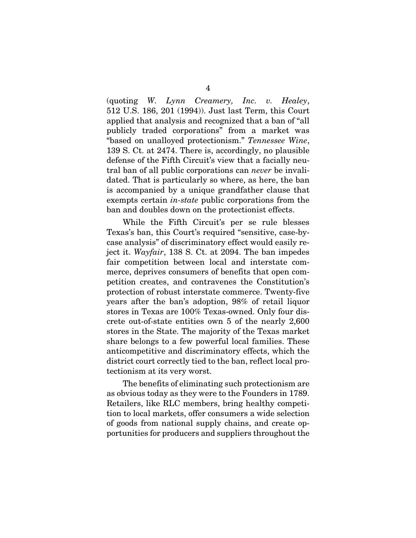(quoting *W. Lynn Creamery, Inc. v. Healey*, 512 U.S. 186, 201 (1994)). Just last Term, this Court applied that analysis and recognized that a ban of "all publicly traded corporations" from a market was "based on unalloyed protectionism." *Tennessee Wine*, 139 S. Ct. at 2474. There is, accordingly, no plausible defense of the Fifth Circuit's view that a facially neutral ban of all public corporations can *never* be invalidated. That is particularly so where, as here, the ban is accompanied by a unique grandfather clause that exempts certain *in-state* public corporations from the ban and doubles down on the protectionist effects.

While the Fifth Circuit's per se rule blesses Texas's ban, this Court's required "sensitive, case-bycase analysis" of discriminatory effect would easily reject it. *Wayfair*, 138 S. Ct. at 2094. The ban impedes fair competition between local and interstate commerce, deprives consumers of benefits that open competition creates, and contravenes the Constitution's protection of robust interstate commerce. Twenty-five years after the ban's adoption, 98% of retail liquor stores in Texas are 100% Texas-owned. Only four discrete out-of-state entities own 5 of the nearly 2,600 stores in the State. The majority of the Texas market share belongs to a few powerful local families. These anticompetitive and discriminatory effects, which the district court correctly tied to the ban, reflect local protectionism at its very worst.

The benefits of eliminating such protectionism are as obvious today as they were to the Founders in 1789. Retailers, like RLC members, bring healthy competition to local markets, offer consumers a wide selection of goods from national supply chains, and create opportunities for producers and suppliers throughout the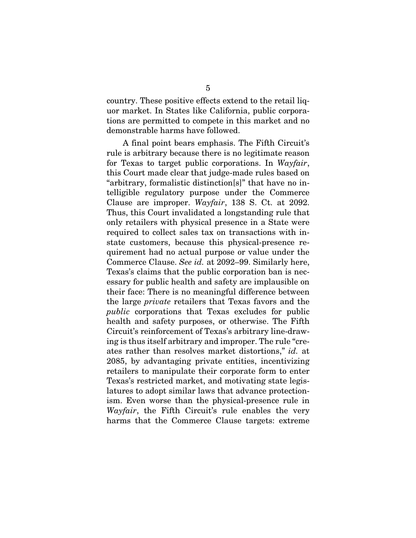country. These positive effects extend to the retail liquor market. In States like California, public corporations are permitted to compete in this market and no demonstrable harms have followed.

A final point bears emphasis. The Fifth Circuit's rule is arbitrary because there is no legitimate reason for Texas to target public corporations. In *Wayfair*, this Court made clear that judge-made rules based on "arbitrary, formalistic distinction[s]" that have no intelligible regulatory purpose under the Commerce Clause are improper. *Wayfair*, 138 S. Ct. at 2092. Thus, this Court invalidated a longstanding rule that only retailers with physical presence in a State were required to collect sales tax on transactions with instate customers, because this physical-presence requirement had no actual purpose or value under the Commerce Clause. *See id.* at 2092–99. Similarly here, Texas's claims that the public corporation ban is necessary for public health and safety are implausible on their face: There is no meaningful difference between the large *private* retailers that Texas favors and the *public* corporations that Texas excludes for public health and safety purposes, or otherwise. The Fifth Circuit's reinforcement of Texas's arbitrary line-drawing is thus itself arbitrary and improper. The rule "creates rather than resolves market distortions," *id.* at 2085, by advantaging private entities, incentivizing retailers to manipulate their corporate form to enter Texas's restricted market, and motivating state legislatures to adopt similar laws that advance protectionism. Even worse than the physical-presence rule in *Wayfair*, the Fifth Circuit's rule enables the very harms that the Commerce Clause targets: extreme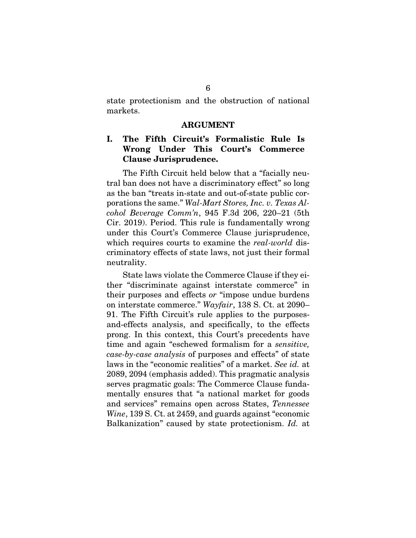state protectionism and the obstruction of national markets.

#### ARGUMENT

## I. The Fifth Circuit's Formalistic Rule Is Wrong Under This Court's Commerce Clause Jurisprudence.

The Fifth Circuit held below that a "facially neutral ban does not have a discriminatory effect" so long as the ban "treats in-state and out-of-state public corporations the same." *Wal-Mart Stores, Inc. v. Texas Alcohol Beverage Comm'n*, 945 F.3d 206, 220–21 (5th Cir. 2019). Period. This rule is fundamentally wrong under this Court's Commerce Clause jurisprudence, which requires courts to examine the *real-world* discriminatory effects of state laws, not just their formal neutrality.

State laws violate the Commerce Clause if they either "discriminate against interstate commerce" in their purposes and effects *or* "impose undue burdens on interstate commerce." *Wayfair*, 138 S. Ct. at 2090– 91. The Fifth Circuit's rule applies to the purposesand-effects analysis, and specifically, to the effects prong. In this context, this Court's precedents have time and again "eschewed formalism for a *sensitive, case-by-case analysis* of purposes and effects" of state laws in the "economic realities" of a market. *See id.* at 2089, 2094 (emphasis added). This pragmatic analysis serves pragmatic goals: The Commerce Clause fundamentally ensures that "a national market for goods and services" remains open across States, *Tennessee Wine*, 139 S. Ct. at 2459, and guards against "economic Balkanization" caused by state protectionism. *Id.* at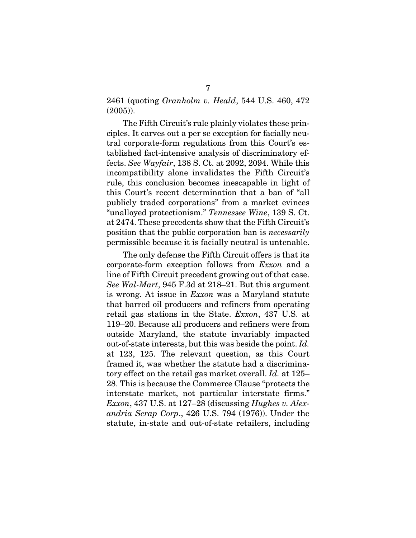2461 (quoting *Granholm v. Heald*, 544 U.S. 460, 472 (2005)).

The Fifth Circuit's rule plainly violates these principles. It carves out a per se exception for facially neutral corporate-form regulations from this Court's established fact-intensive analysis of discriminatory effects. *See Wayfair*, 138 S. Ct. at 2092, 2094. While this incompatibility alone invalidates the Fifth Circuit's rule, this conclusion becomes inescapable in light of this Court's recent determination that a ban of "all publicly traded corporations" from a market evinces "unalloyed protectionism." *Tennessee Wine*, 139 S. Ct. at 2474. These precedents show that the Fifth Circuit's position that the public corporation ban is *necessarily* permissible because it is facially neutral is untenable.

The only defense the Fifth Circuit offers is that its corporate-form exception follows from *Exxon* and a line of Fifth Circuit precedent growing out of that case. *See Wal-Mart*, 945 F.3d at 218–21. But this argument is wrong. At issue in *Exxon* was a Maryland statute that barred oil producers and refiners from operating retail gas stations in the State. *Exxon*, 437 U.S. at 119–20. Because all producers and refiners were from outside Maryland, the statute invariably impacted out-of-state interests, but this was beside the point. *Id.*  at 123, 125. The relevant question, as this Court framed it, was whether the statute had a discriminatory effect on the retail gas market overall. *Id.* at 125– 28. This is because the Commerce Clause "protects the interstate market, not particular interstate firms." *Exxon*, 437 U.S. at 127–28 (discussing *Hughes v. Alexandria Scrap Corp*., 426 U.S. 794 (1976)). Under the statute, in-state and out-of-state retailers, including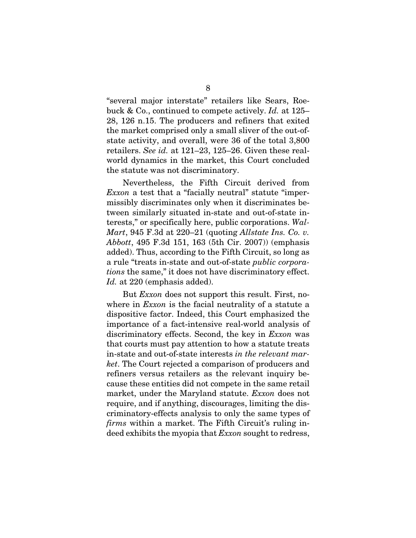"several major interstate" retailers like Sears, Roebuck & Co., continued to compete actively. *Id.* at 125– 28, 126 n.15. The producers and refiners that exited the market comprised only a small sliver of the out-ofstate activity, and overall, were 36 of the total 3,800 retailers. *See id.* at 121–23, 125–26. Given these realworld dynamics in the market, this Court concluded the statute was not discriminatory.

Nevertheless, the Fifth Circuit derived from *Exxon* a test that a "facially neutral" statute "impermissibly discriminates only when it discriminates between similarly situated in-state and out-of-state interests," or specifically here, public corporations. *Wal-Mart*, 945 F.3d at 220–21 (quoting *Allstate Ins. Co. v. Abbott*, 495 F.3d 151, 163 (5th Cir. 2007)) (emphasis added). Thus, according to the Fifth Circuit, so long as a rule "treats in-state and out-of-state *public corporations* the same," it does not have discriminatory effect. *Id.* at 220 (emphasis added).

But *Exxon* does not support this result. First, nowhere in *Exxon* is the facial neutrality of a statute a dispositive factor. Indeed, this Court emphasized the importance of a fact-intensive real-world analysis of discriminatory effects. Second, the key in *Exxon* was that courts must pay attention to how a statute treats in-state and out-of-state interests *in the relevant market*. The Court rejected a comparison of producers and refiners versus retailers as the relevant inquiry because these entities did not compete in the same retail market, under the Maryland statute. *Exxon* does not require, and if anything, discourages, limiting the discriminatory-effects analysis to only the same types of *firms* within a market. The Fifth Circuit's ruling indeed exhibits the myopia that *Exxon* sought to redress,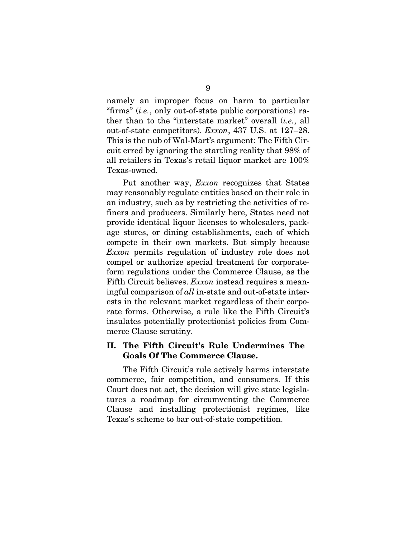namely an improper focus on harm to particular "firms" (*i.e.*, only out-of-state public corporations) rather than to the "interstate market" overall (*i.e.*, all out-of-state competitors). *Exxon*, 437 U.S. at 127–28. This is the nub of Wal-Mart's argument: The Fifth Circuit erred by ignoring the startling reality that 98% of all retailers in Texas's retail liquor market are 100% Texas-owned.

Put another way, *Exxon* recognizes that States may reasonably regulate entities based on their role in an industry, such as by restricting the activities of refiners and producers. Similarly here, States need not provide identical liquor licenses to wholesalers, package stores, or dining establishments, each of which compete in their own markets. But simply because *Exxon* permits regulation of industry role does not compel or authorize special treatment for corporateform regulations under the Commerce Clause, as the Fifth Circuit believes. *Exxon* instead requires a meaningful comparison of *all* in-state and out-of-state interests in the relevant market regardless of their corporate forms. Otherwise, a rule like the Fifth Circuit's insulates potentially protectionist policies from Commerce Clause scrutiny.

## II. The Fifth Circuit's Rule Undermines The Goals Of The Commerce Clause.

The Fifth Circuit's rule actively harms interstate commerce, fair competition, and consumers. If this Court does not act, the decision will give state legislatures a roadmap for circumventing the Commerce Clause and installing protectionist regimes, like Texas's scheme to bar out-of-state competition.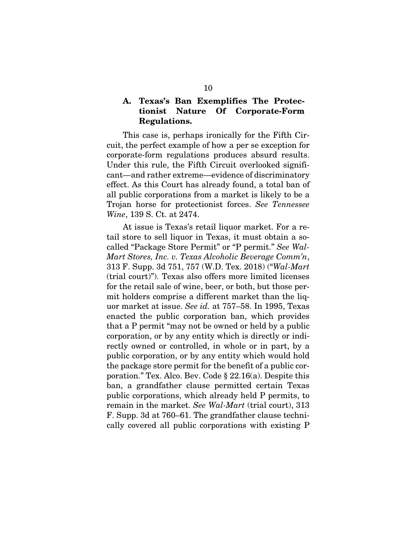## A. Texas's Ban Exemplifies The Protectionist Nature Of Corporate-Form Regulations.

This case is, perhaps ironically for the Fifth Circuit, the perfect example of how a per se exception for corporate-form regulations produces absurd results. Under this rule, the Fifth Circuit overlooked significant—and rather extreme—evidence of discriminatory effect. As this Court has already found, a total ban of all public corporations from a market is likely to be a Trojan horse for protectionist forces. *See Tennessee Wine*, 139 S. Ct. at 2474.

At issue is Texas's retail liquor market. For a retail store to sell liquor in Texas, it must obtain a socalled "Package Store Permit" or "P permit." *See Wal-Mart Stores, Inc. v. Texas Alcoholic Beverage Comm'n*, 313 F. Supp. 3d 751, 757 (W.D. Tex. 2018) ("*Wal-Mart* (trial court)"). Texas also offers more limited licenses for the retail sale of wine, beer, or both, but those permit holders comprise a different market than the liquor market at issue. *See id.* at 757–58. In 1995, Texas enacted the public corporation ban, which provides that a P permit "may not be owned or held by a public corporation, or by any entity which is directly or indirectly owned or controlled, in whole or in part, by a public corporation, or by any entity which would hold the package store permit for the benefit of a public corporation." Tex. Alco. Bev. Code § 22.16(a). Despite this ban, a grandfather clause permitted certain Texas public corporations, which already held P permits, to remain in the market. *See Wal-Mart* (trial court), 313 F. Supp. 3d at 760–61. The grandfather clause technically covered all public corporations with existing P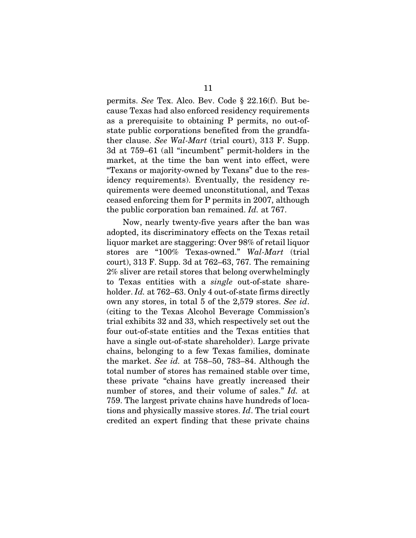permits. *See* Tex. Alco. Bev. Code § 22.16(f). But because Texas had also enforced residency requirements as a prerequisite to obtaining P permits, no out-ofstate public corporations benefited from the grandfather clause. *See Wal-Mart* (trial court), 313 F. Supp. 3d at 759–61 (all "incumbent" permit-holders in the market, at the time the ban went into effect, were "Texans or majority-owned by Texans" due to the residency requirements). Eventually, the residency requirements were deemed unconstitutional, and Texas ceased enforcing them for P permits in 2007, although the public corporation ban remained. *Id.* at 767.

Now, nearly twenty-five years after the ban was adopted, its discriminatory effects on the Texas retail liquor market are staggering: Over 98% of retail liquor stores are "100% Texas-owned." *Wal-Mart* (trial court), 313 F. Supp. 3d at 762–63, 767*.* The remaining 2% sliver are retail stores that belong overwhelmingly to Texas entities with a *single* out-of-state shareholder. *Id.* at 762–63. Only 4 out-of-state firms directly own any stores, in total 5 of the 2,579 stores. *See id*. (citing to the Texas Alcohol Beverage Commission's trial exhibits 32 and 33, which respectively set out the four out-of-state entities and the Texas entities that have a single out-of-state shareholder). Large private chains, belonging to a few Texas families, dominate the market. *See id.* at 758–50, 783–84. Although the total number of stores has remained stable over time, these private "chains have greatly increased their number of stores, and their volume of sales." *Id.* at 759. The largest private chains have hundreds of locations and physically massive stores. *Id*. The trial court credited an expert finding that these private chains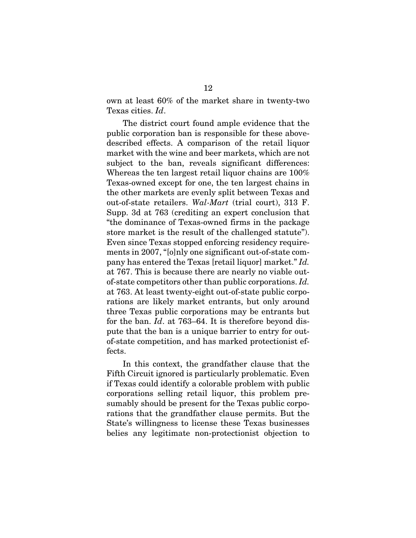own at least 60% of the market share in twenty-two Texas cities. *Id*.

The district court found ample evidence that the public corporation ban is responsible for these abovedescribed effects. A comparison of the retail liquor market with the wine and beer markets, which are not subject to the ban, reveals significant differences: Whereas the ten largest retail liquor chains are 100% Texas-owned except for one, the ten largest chains in the other markets are evenly split between Texas and out-of-state retailers. *Wal-Mart* (trial court), 313 F. Supp. 3d at 763 (crediting an expert conclusion that "the dominance of Texas-owned firms in the package store market is the result of the challenged statute"). Even since Texas stopped enforcing residency requirements in 2007, "[o]nly one significant out-of-state company has entered the Texas [retail liquor] market." *Id.*  at 767. This is because there are nearly no viable outof-state competitors other than public corporations. *Id.* at 763. At least twenty-eight out-of-state public corporations are likely market entrants, but only around three Texas public corporations may be entrants but for the ban. *Id*. at 763–64. It is therefore beyond dispute that the ban is a unique barrier to entry for outof-state competition, and has marked protectionist effects.

In this context, the grandfather clause that the Fifth Circuit ignored is particularly problematic. Even if Texas could identify a colorable problem with public corporations selling retail liquor, this problem presumably should be present for the Texas public corporations that the grandfather clause permits. But the State's willingness to license these Texas businesses belies any legitimate non-protectionist objection to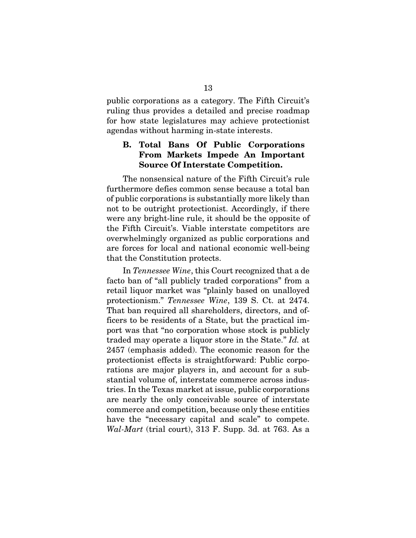public corporations as a category. The Fifth Circuit's ruling thus provides a detailed and precise roadmap for how state legislatures may achieve protectionist agendas without harming in-state interests.

## B. Total Bans Of Public Corporations From Markets Impede An Important Source Of Interstate Competition.

The nonsensical nature of the Fifth Circuit's rule furthermore defies common sense because a total ban of public corporations is substantially more likely than not to be outright protectionist. Accordingly, if there were any bright-line rule, it should be the opposite of the Fifth Circuit's. Viable interstate competitors are overwhelmingly organized as public corporations and are forces for local and national economic well-being that the Constitution protects.

In *Tennessee Wine*, this Court recognized that a de facto ban of "all publicly traded corporations" from a retail liquor market was "plainly based on unalloyed protectionism." *Tennessee Wine*, 139 S. Ct. at 2474. That ban required all shareholders, directors, and officers to be residents of a State, but the practical import was that "no corporation whose stock is publicly traded may operate a liquor store in the State." *Id.* at 2457 (emphasis added). The economic reason for the protectionist effects is straightforward: Public corporations are major players in, and account for a substantial volume of, interstate commerce across industries. In the Texas market at issue, public corporations are nearly the only conceivable source of interstate commerce and competition, because only these entities have the "necessary capital and scale" to compete. *Wal-Mart* (trial court), 313 F. Supp. 3d. at 763. As a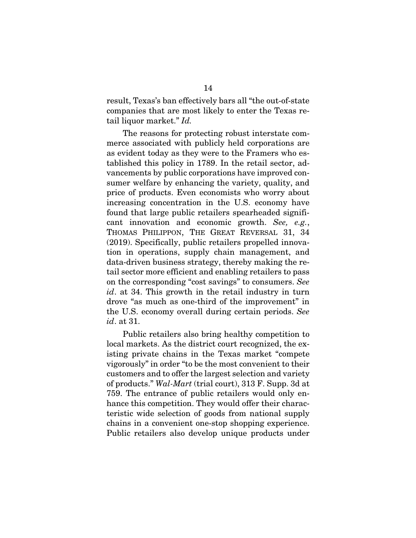result, Texas's ban effectively bars all "the out-of-state companies that are most likely to enter the Texas retail liquor market." *Id.*

The reasons for protecting robust interstate commerce associated with publicly held corporations are as evident today as they were to the Framers who established this policy in 1789. In the retail sector, advancements by public corporations have improved consumer welfare by enhancing the variety, quality, and price of products. Even economists who worry about increasing concentration in the U.S. economy have found that large public retailers spearheaded significant innovation and economic growth. *See, e.g.*, THOMAS PHILIPPON, THE GREAT REVERSAL 31, 34 (2019). Specifically, public retailers propelled innovation in operations, supply chain management, and data-driven business strategy, thereby making the retail sector more efficient and enabling retailers to pass on the corresponding "cost savings" to consumers. *See id*. at 34. This growth in the retail industry in turn drove "as much as one-third of the improvement" in the U.S. economy overall during certain periods. *See id*. at 31.

Public retailers also bring healthy competition to local markets. As the district court recognized, the existing private chains in the Texas market "compete vigorously" in order "to be the most convenient to their customers and to offer the largest selection and variety of products." *Wal-Mart* (trial court), 313 F. Supp. 3d at 759. The entrance of public retailers would only enhance this competition. They would offer their characteristic wide selection of goods from national supply chains in a convenient one-stop shopping experience. Public retailers also develop unique products under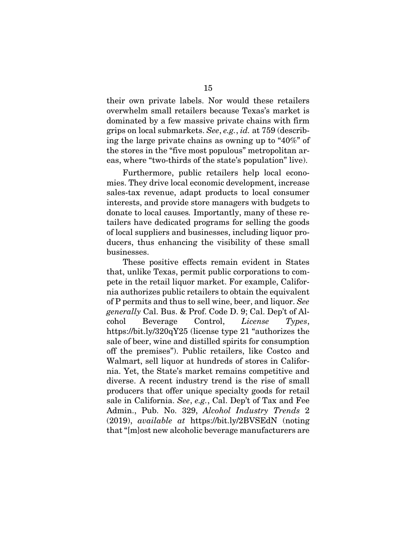their own private labels. Nor would these retailers overwhelm small retailers because Texas's market is dominated by a few massive private chains with firm grips on local submarkets. *See*, *e.g.*, *id.* at 759 (describing the large private chains as owning up to "40%" of the stores in the "five most populous" metropolitan areas, where "two-thirds of the state's population" live).

Furthermore, public retailers help local economies. They drive local economic development, increase sales-tax revenue, adapt products to local consumer interests, and provide store managers with budgets to donate to local causes*.* Importantly, many of these retailers have dedicated programs for selling the goods of local suppliers and businesses, including liquor producers, thus enhancing the visibility of these small businesses.

These positive effects remain evident in States that, unlike Texas, permit public corporations to compete in the retail liquor market. For example, California authorizes public retailers to obtain the equivalent of P permits and thus to sell wine, beer, and liquor. *See generally* Cal. Bus. & Prof. Code D. 9; Cal. Dep't of Alcohol Beverage Control, *License Types*, https://bit.ly/320qY25 (license type 21 "authorizes the sale of beer, wine and distilled spirits for consumption off the premises"). Public retailers, like Costco and Walmart, sell liquor at hundreds of stores in California. Yet, the State's market remains competitive and diverse. A recent industry trend is the rise of small producers that offer unique specialty goods for retail sale in California. *See*, *e.g.*, Cal. Dep't of Tax and Fee Admin., Pub. No. 329, *Alcohol Industry Trends* 2 (2019), *available at* https://bit.ly/2BVSEdN (noting that "[m]ost new alcoholic beverage manufacturers are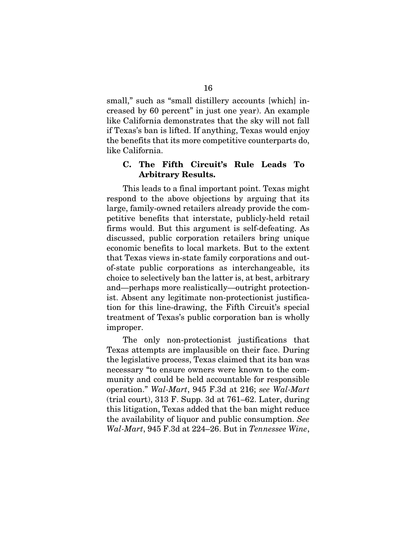small," such as "small distillery accounts [which] increased by 60 percent" in just one year). An example like California demonstrates that the sky will not fall if Texas's ban is lifted. If anything, Texas would enjoy the benefits that its more competitive counterparts do, like California.

### C. The Fifth Circuit's Rule Leads To Arbitrary Results.

This leads to a final important point. Texas might respond to the above objections by arguing that its large, family-owned retailers already provide the competitive benefits that interstate, publicly-held retail firms would. But this argument is self-defeating. As discussed, public corporation retailers bring unique economic benefits to local markets. But to the extent that Texas views in-state family corporations and outof-state public corporations as interchangeable, its choice to selectively ban the latter is, at best, arbitrary and—perhaps more realistically—outright protectionist. Absent any legitimate non-protectionist justification for this line-drawing, the Fifth Circuit's special treatment of Texas's public corporation ban is wholly improper.

The only non-protectionist justifications that Texas attempts are implausible on their face. During the legislative process, Texas claimed that its ban was necessary "to ensure owners were known to the community and could be held accountable for responsible operation." *Wal-Mart*, 945 F.3d at 216; *see Wal-Mart*  (trial court), 313 F. Supp. 3d at 761–62. Later, during this litigation, Texas added that the ban might reduce the availability of liquor and public consumption. *See Wal-Mart*, 945 F.3d at 224–26. But in *Tennessee Wine*,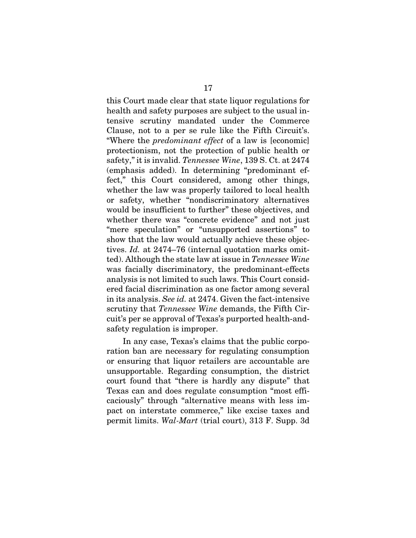this Court made clear that state liquor regulations for health and safety purposes are subject to the usual intensive scrutiny mandated under the Commerce Clause, not to a per se rule like the Fifth Circuit's. "Where the *predominant effect* of a law is [economic] protectionism, not the protection of public health or safety," it is invalid. *Tennessee Wine*, 139 S. Ct. at 2474 (emphasis added). In determining "predominant effect," this Court considered, among other things, whether the law was properly tailored to local health or safety, whether "nondiscriminatory alternatives would be insufficient to further" these objectives, and whether there was "concrete evidence" and not just "mere speculation" or "unsupported assertions" to show that the law would actually achieve these objectives. *Id.* at 2474–76 (internal quotation marks omitted). Although the state law at issue in *Tennessee Wine*  was facially discriminatory, the predominant-effects analysis is not limited to such laws. This Court considered facial discrimination as one factor among several in its analysis. *See id.* at 2474. Given the fact-intensive scrutiny that *Tennessee Wine* demands, the Fifth Circuit's per se approval of Texas's purported health-andsafety regulation is improper.

In any case, Texas's claims that the public corporation ban are necessary for regulating consumption or ensuring that liquor retailers are accountable are unsupportable. Regarding consumption, the district court found that "there is hardly any dispute" that Texas can and does regulate consumption "most efficaciously" through "alternative means with less impact on interstate commerce," like excise taxes and permit limits. *Wal-Mart* (trial court), 313 F. Supp. 3d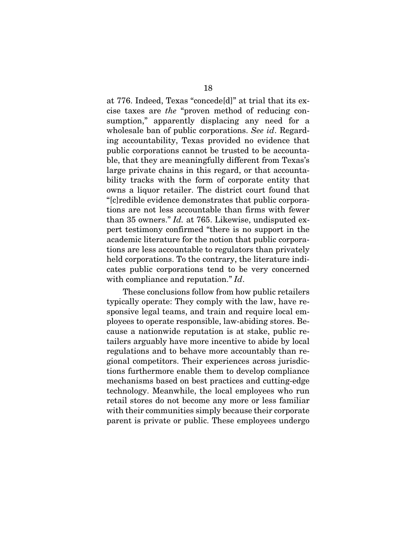at 776. Indeed, Texas "concede[d]" at trial that its excise taxes are *the* "proven method of reducing consumption," apparently displacing any need for a wholesale ban of public corporations. *See id*. Regarding accountability, Texas provided no evidence that public corporations cannot be trusted to be accountable, that they are meaningfully different from Texas's large private chains in this regard, or that accountability tracks with the form of corporate entity that owns a liquor retailer. The district court found that "[c]redible evidence demonstrates that public corporations are not less accountable than firms with fewer than 35 owners." *Id.* at 765. Likewise, undisputed expert testimony confirmed "there is no support in the academic literature for the notion that public corporations are less accountable to regulators than privately held corporations. To the contrary, the literature indicates public corporations tend to be very concerned with compliance and reputation." *Id*.

These conclusions follow from how public retailers typically operate: They comply with the law, have responsive legal teams, and train and require local employees to operate responsible, law-abiding stores. Because a nationwide reputation is at stake, public retailers arguably have more incentive to abide by local regulations and to behave more accountably than regional competitors. Their experiences across jurisdictions furthermore enable them to develop compliance mechanisms based on best practices and cutting-edge technology. Meanwhile, the local employees who run retail stores do not become any more or less familiar with their communities simply because their corporate parent is private or public. These employees undergo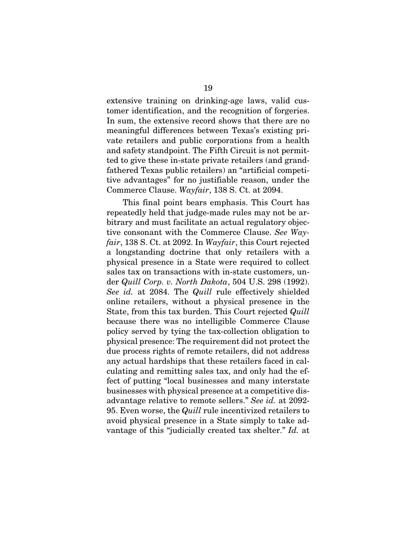extensive training on drinking-age laws, valid customer identification, and the recognition of forgeries. In sum, the extensive record shows that there are no meaningful differences between Texas's existing private retailers and public corporations from a health and safety standpoint. The Fifth Circuit is not permitted to give these in-state private retailers (and grandfathered Texas public retailers) an "artificial competitive advantages" for no justifiable reason, under the Commerce Clause. *Wayfair*, 138 S. Ct. at 2094.

This final point bears emphasis. This Court has repeatedly held that judge-made rules may not be arbitrary and must facilitate an actual regulatory objective consonant with the Commerce Clause. *See Wayfair*, 138 S. Ct. at 2092. In *Wayfair*, this Court rejected a longstanding doctrine that only retailers with a physical presence in a State were required to collect sales tax on transactions with in-state customers, under *Quill Corp. v. North Dakota*, 504 U.S. 298 (1992). *See id.* at 2084. The *Quill* rule effectively shielded online retailers, without a physical presence in the State, from this tax burden. This Court rejected *Quill* because there was no intelligible Commerce Clause policy served by tying the tax-collection obligation to physical presence: The requirement did not protect the due process rights of remote retailers, did not address any actual hardships that these retailers faced in calculating and remitting sales tax, and only had the effect of putting "local businesses and many interstate businesses with physical presence at a competitive disadvantage relative to remote sellers." *See id.* at 2092- 95. Even worse, the *Quill* rule incentivized retailers to avoid physical presence in a State simply to take advantage of this "judicially created tax shelter." *Id.* at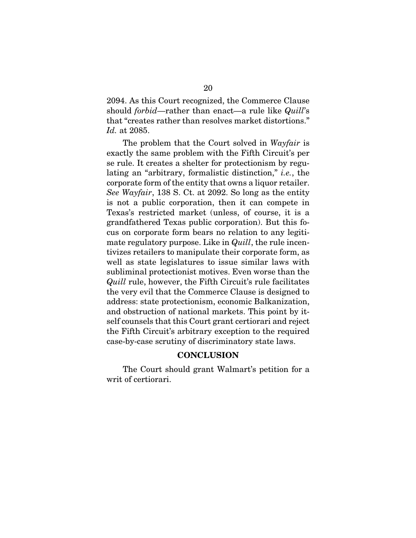2094. As this Court recognized, the Commerce Clause should *forbid*—rather than enact—a rule like *Quill*'s that "creates rather than resolves market distortions." *Id.* at 2085.

The problem that the Court solved in *Wayfair* is exactly the same problem with the Fifth Circuit's per se rule. It creates a shelter for protectionism by regulating an "arbitrary, formalistic distinction," *i.e.*, the corporate form of the entity that owns a liquor retailer. *See Wayfair*, 138 S. Ct. at 2092. So long as the entity is not a public corporation, then it can compete in Texas's restricted market (unless, of course, it is a grandfathered Texas public corporation). But this focus on corporate form bears no relation to any legitimate regulatory purpose. Like in *Quill*, the rule incentivizes retailers to manipulate their corporate form, as well as state legislatures to issue similar laws with subliminal protectionist motives. Even worse than the *Quill* rule, however, the Fifth Circuit's rule facilitates the very evil that the Commerce Clause is designed to address: state protectionism, economic Balkanization, and obstruction of national markets. This point by itself counsels that this Court grant certiorari and reject the Fifth Circuit's arbitrary exception to the required case-by-case scrutiny of discriminatory state laws.

### **CONCLUSION**

The Court should grant Walmart's petition for a writ of certiorari.